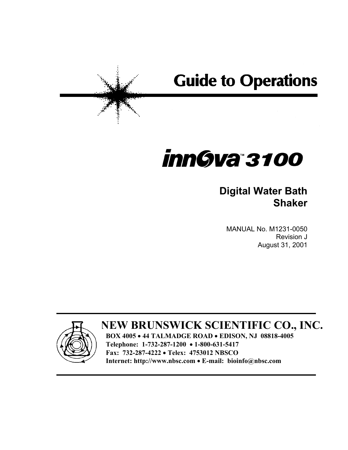# **Guide to Operations**

# inn6va®3100

# **Digital Water Bath Shaker**

 MANUAL No. M1231-0050 Revision J August 31, 2001



# **NEW BRUNSWICK SCIENTIFIC CO., INC.**

**BOX 4005** • **44 TALMADGE ROAD** • **EDISON, NJ 08818-4005 Telephone: 1-732-287-1200** • **1-800-631-5417 Fax: 732-287-4222** • **Telex: 4753012 NBSCO Internet: http://www.nbsc.com** • **E-mail: bioinfo@nbsc.com**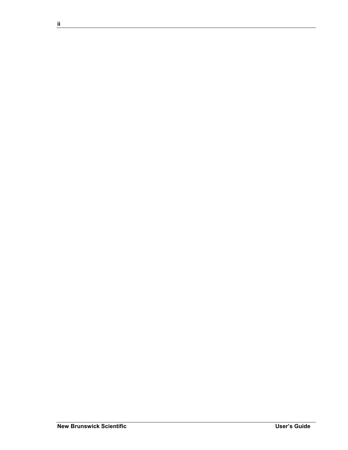<u> 1980 - Johann Barbara, martxa amerikan personal (</u>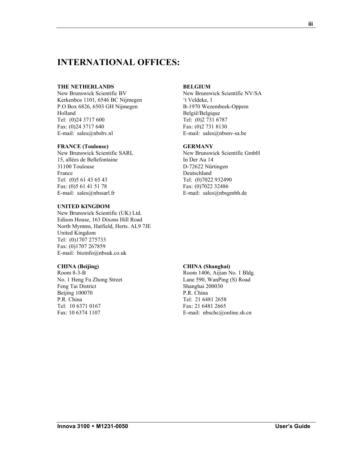# **INTERNATIONAL OFFICES:**

#### **THE NETHERLANDS**

New Brunswick Scientific BV Kerkenbos 1101, 6546 BC Nijmegen P.O Box 6826, 6503 GH Nijmegen Holland Tel: (0)24 3717 600 Fax: (0)24 3717 640 E-mail: sales@nbsbv.nl

#### **FRANCE (Toulouse)**

New Brunswick Scientific SARL 15, allées de Bellefontaine 31100 Toulouse France Tel: (0)5 61 43 65 43 Fax: (0)5 61 41 51 78 E-mail: sales@nbssarl.fr

#### **UNITED KINGDOM**

New Brunswick Scientific (UK) Ltd. Edison House, 163 Dixons Hill Road North Mymms, Hatfield, Herts. AL9 7JE United Kingdom Tel: (0)1707 275733 Fax: (0)1707 267859 E-mail: bioinfo@nbsuk.co.uk

#### **CHINA (Beijing)**

Room 8-3-B No. 1 Heng Fu Zhong Street Feng Tai District Beijing 100070 P.R. China Tel: 10 6371 0167 Fax: 10 6374 1107

#### **BELGIUM**

New Brunswick Scientific NV/SA 't Veldeke, 1 B-1970 Wezembeek-Oppem België/Belgique Tel: (0)2 731 6787 Fax: (0)2 731 8130 E-mail: sales@nbsnv-sa.be

#### **GERMANY**

New Brunswick Scientific GmbH In Der Au 14 D-72622 Nürtingen Deutschland Tel: (0)7022 932490 Fax: (0)7022 32486 E-mail: sales@nbsgmbh.de

#### **CHINA (Shanghai)**

Room 1406, Aijian No. 1 Bldg. Lane 590, WanPing (S) Road Shanghai 200030 P.R. China Tel: 21 6481 2658 Fax: 21 6481 2665 E-mail: nbschc@online.sh.cn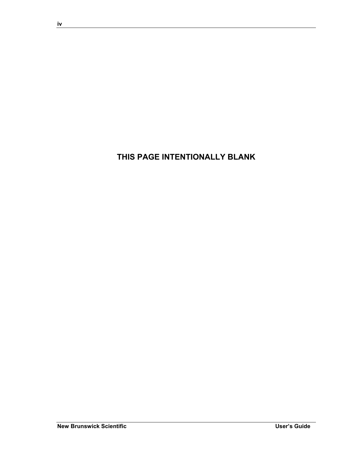# **THIS PAGE INTENTIONALLY BLANK**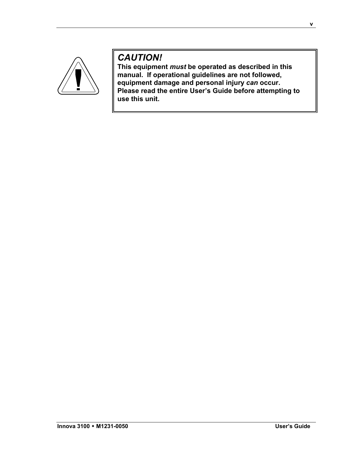

# *CAUTION!*

**This equipment** *must* **be operated as described in this manual. If operational guidelines are not followed, equipment damage and personal injury** *can* **occur. Please read the entire User's Guide before attempting to use this unit.**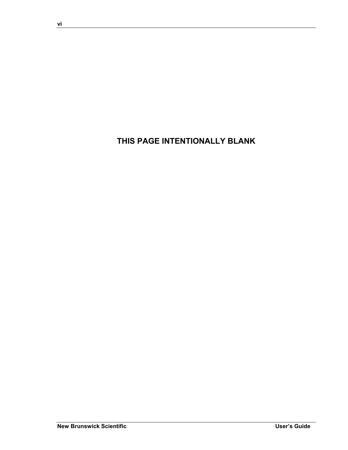<u> 1980 - Johann Stoff, fransk politik (d. 1980)</u>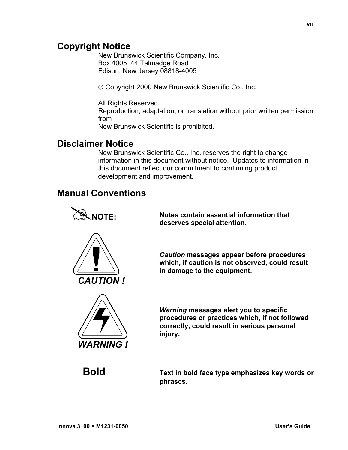# **Copyright Notice**

New Brunswick Scientific Company, Inc. Box 4005 44 Talmadge Road Edison, New Jersey 08818-4005

© Copyright 2000 New Brunswick Scientific Co., Inc.

All Rights Reserved. Reproduction, adaptation, or translation without prior written permission from

New Brunswick Scientific is prohibited.

# **Disclaimer Notice**

New Brunswick Scientific Co., Inc. reserves the right to change information in this document without notice. Updates to information in this document reflect our commitment to continuing product development and improvement.

# **Manual Conventions**



**Notes contain essential information that deserves special attention.**



*Caution* **messages appear before procedures which, if caution is not observed, could result in damage to the equipment.**



*Warning* **messages alert you to specific procedures or practices which, if not followed correctly, could result in serious personal injury.**

**Bold Text in bold face type emphasizes key words or phrases.**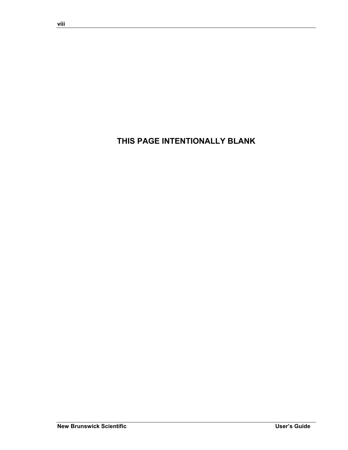# **THIS PAGE INTENTIONALLY BLANK**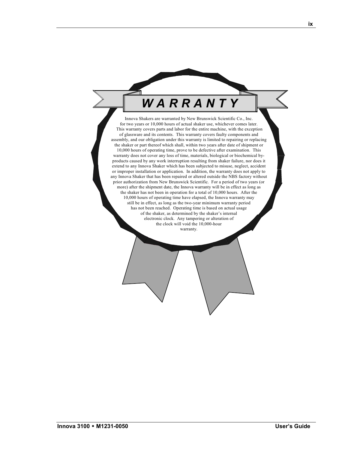# *W A R R A N T Y*

Innova Shakers are warranted by New Brunswick Scientific Co., Inc. for two years or 10,000 hours of actual shaker use, whichever comes later. This warranty covers parts and labor for the entire machine, with the exception of glassware and its contents. This warranty covers faulty components and assembly, and our obligation under this warranty is limited to repairing or replacing the shaker or part thereof which shall, within two years after date of shipment or 10,000 hours of operating time, prove to be defective after examination. This warranty does not cover any loss of time, materials, biological or biochemical byproducts caused by any work interruption resulting from shaker failure, nor does it extend to any Innova Shaker which has been subjected to misuse, neglect, accident or improper installation or application. In addition, the warranty does not apply to any Innova Shaker that has been repaired or altered outside the NBS factory without prior authorization from New Brunswick Scientific. For a period of two years (or more) after the shipment date, the Innova warranty will be in effect as long as the shaker has not been in operation for a total of 10,000 hours. After the 10,000 hours of operating time have elapsed, the Innova warranty may still be in effect, as long as the two-year minimum warranty period has not been reached. Operating time is based on actual usage of the shaker, as determined by the shaker's internal electronic clock. Any tampering or alteration of the clock will void the 10,000-hour warranty.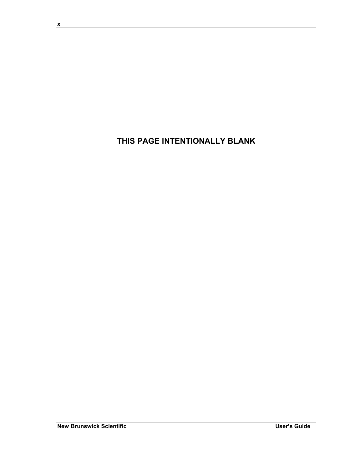**THIS PAGE INTENTIONALLY BLANK**

<u> 1980 - Johann Barn, mars ann an t-Amhain Aonaich an t-Aonaich an t-Aonaich ann an t-Aonaich ann an t-Aonaich</u>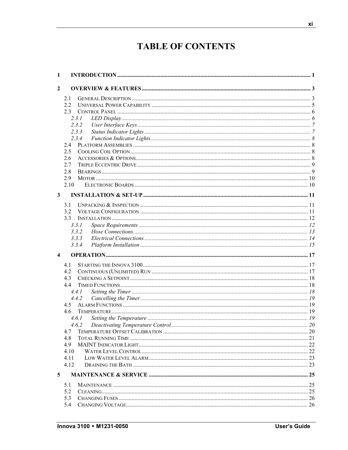# **TABLE OF CONTENTS**

| $\mathbf{1}$            |               |  |
|-------------------------|---------------|--|
| $\mathbf{2}$            |               |  |
|                         | 2.1           |  |
|                         | $2.2^{\circ}$ |  |
|                         | 2.3           |  |
|                         | 2.3.1         |  |
|                         | 2.3.2         |  |
|                         | 2.3.3         |  |
|                         | 2.3.4         |  |
|                         | 2.4           |  |
|                         | 2.5           |  |
|                         | 2.6           |  |
|                         | 2.7           |  |
|                         | 2.8           |  |
|                         | 2.9           |  |
|                         | 2.10          |  |
| 3                       |               |  |
|                         |               |  |
|                         | 3.1           |  |
|                         | 3.2           |  |
|                         |               |  |
|                         | 3.3.1         |  |
|                         | 3.3.2         |  |
|                         | 3.3.3         |  |
|                         | 3.3.4         |  |
| $\overline{\mathbf{4}}$ |               |  |
|                         | 4.1           |  |
|                         | 4.2           |  |
|                         | 4.3           |  |
|                         | 4.4           |  |
|                         | 4.4.I         |  |
|                         | 4.4.2         |  |
|                         | 4.5           |  |
|                         | 4.6           |  |
|                         | 4.6.1         |  |
|                         | 4.6.2         |  |
|                         | 4.7           |  |
|                         | 4.8           |  |
|                         | 4.9           |  |
|                         | 4.10          |  |
|                         | 4.11          |  |
|                         | 4.12          |  |
| 5                       |               |  |
|                         | 5.1           |  |
|                         | 5.2           |  |
|                         | 5.3           |  |
|                         | 5.4           |  |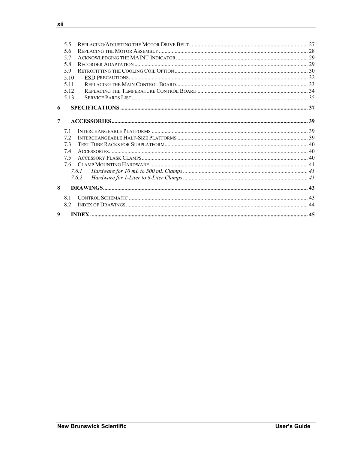| 55    |       |  |
|-------|-------|--|
| 5.6   |       |  |
| 57    |       |  |
| 58    |       |  |
| 5.9   |       |  |
| 5.10  |       |  |
| 5.11  |       |  |
| 5.12  |       |  |
| 5 1 3 |       |  |
| 6     |       |  |
|       |       |  |
| 7     |       |  |
| 71    |       |  |
| 72    |       |  |
| 73    |       |  |
| 74    |       |  |
| 75    |       |  |
| 76    |       |  |
|       | 7.6.1 |  |
|       | 7.6.2 |  |
| 8     |       |  |
| 81    |       |  |
| 82    |       |  |
| 9     |       |  |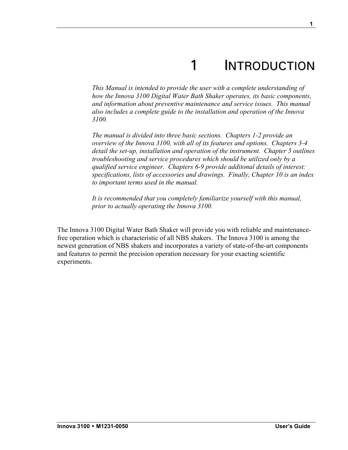# 1 INTRODUCTION

*This Manual is intended to provide the user with a complete understanding of how the Innova 3100 Digital Water Bath Shaker operates, its basic components, and information about preventive maintenance and service issues. This manual also includes a complete guide to the installation and operation of the Innova 3100.*

*The manual is divided into three basic sections. Chapters 1-2 provide an overview of the Innova 3100, with all of its features and options. Chapters 3-4 detail the set-up, installation and operation of the instrument. Chapter 5 outlines troubleshooting and service procedures which should be utilized only by a qualified service engineer. Chapters 6-9 provide additonal details of interest: specifications, lists of accessories and drawings. Finally, Chapter 10 is an index to important terms used in the manual.*

*It is recommended that you completely familiarize yourself with this manual, prior to actually operating the Innova 3100.*

The Innova 3100 Digital Water Bath Shaker will provide you with reliable and maintenancefree operation which is characteristic of all NBS shakers. The Innova 3100 is among the newest generation of NBS shakers and incorporates a variety of state-of-the-art components and features to permit the precision operation necessary for your exacting scientific experiments.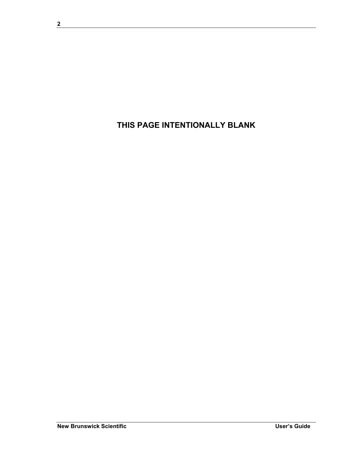**THIS PAGE INTENTIONALLY BLANK**

**2**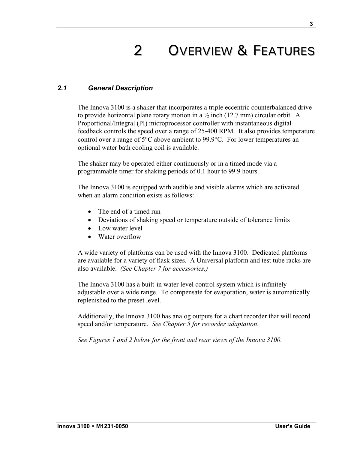# 2 OVERVIEW & FEATURES

# *2.1 General Description*

The Innova 3100 is a shaker that incorporates a triple eccentric counterbalanced drive to provide horizontal plane rotary motion in a  $\frac{1}{2}$  inch (12.7 mm) circular orbit. A Proportional/Integral (PI) microprocessor controller with instantaneous digital feedback controls the speed over a range of 25-400 RPM. It also provides temperature control over a range of 5°C above ambient to 99.9°C. For lower temperatures an optional water bath cooling coil is available.

The shaker may be operated either continuously or in a timed mode via a programmable timer for shaking periods of 0.1 hour to 99.9 hours.

The Innova 3100 is equipped with audible and visible alarms which are activated when an alarm condition exists as follows:

- The end of a timed run
- Deviations of shaking speed or temperature outside of tolerance limits
- Low water level
- Water overflow

A wide variety of platforms can be used with the Innova 3100. Dedicated platforms are available for a variety of flask sizes. A Universal platform and test tube racks are also available. *(See Chapter 7 for accessories.)*

The Innova 3100 has a built-in water level control system which is infinitely adjustable over a wide range. To compensate for evaporation, water is automatically replenished to the preset level.

Additionally, the Innova 3100 has analog outputs for a chart recorder that will record speed and/or temperature. *See Chapter 5 for recorder adaptation*.

*See Figures 1 and 2 below for the front and rear views of the Innova 3100.*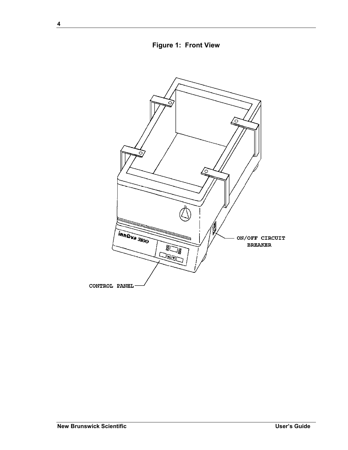**Figure 1: Front View**

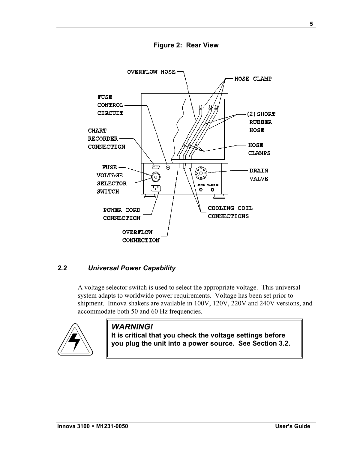**Figure 2: Rear View**



# *2.2 Universal Power Capability*

A voltage selector switch is used to select the appropriate voltage. This universal system adapts to worldwide power requirements. Voltage has been set prior to shipment. Innova shakers are available in 100V, 120V, 220V and 240V versions, and accommodate both 50 and 60 Hz frequencies.



# *WARNING!*

**It is critical that you check the voltage settings before you plug the unit into a power source. See Section 3.2.**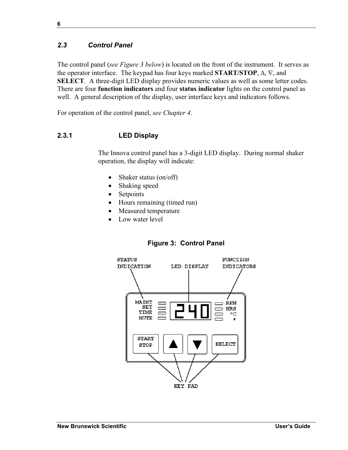# *2.3 Control Panel*

The control panel (*see Figure 3 below*) is located on the front of the instrument. It serves as the operator interface. The keypad has four keys marked **START/STOP**, ∆, ∇, and **SELECT**. A three-digit LED display provides numeric values as well as some letter codes. There are four **function indicators** and four **status indicator** lights on the control panel as well. A general description of the display, user interface keys and indicators follows.

For operation of the control panel, *see Chapter 4*.

# **2.3.1 LED Display**

The Innova control panel has a 3-digit LED display. During normal shaker operation, the display will indicate:

- Shaker status (on/off)
- Shaking speed
- Setpoints
- Hours remaining (timed run)
- Measured temperature
- Low water level



# **Figure 3: Control Panel**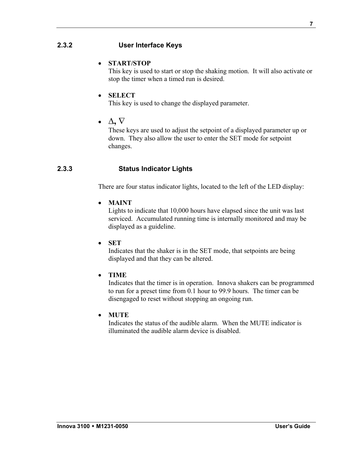# **2.3.2 User Interface Keys**

# • **START/STOP**

This key is used to start or stop the shaking motion. It will also activate or stop the timer when a timed run is desired.

# • **SELECT**

This key is used to change the displayed parameter.

# • ∆**,** ∇

These keys are used to adjust the setpoint of a displayed parameter up or down. They also allow the user to enter the SET mode for setpoint changes.

# **2.3.3 Status Indicator Lights**

There are four status indicator lights, located to the left of the LED display:

• **MAINT**

Lights to indicate that 10,000 hours have elapsed since the unit was last serviced. Accumulated running time is internally monitored and may be displayed as a guideline.

• **SET**

Indicates that the shaker is in the SET mode, that setpoints are being displayed and that they can be altered.

• **TIME**

Indicates that the timer is in operation. Innova shakers can be programmed to run for a preset time from 0.1 hour to 99.9 hours. The timer can be disengaged to reset without stopping an ongoing run.

• **MUTE**

Indicates the status of the audible alarm. When the MUTE indicator is illuminated the audible alarm device is disabled.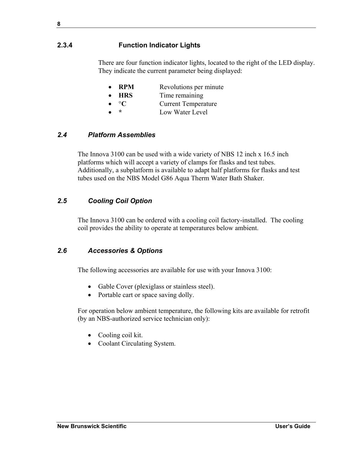# **2.3.4 Function Indicator Lights**

There are four function indicator lights, located to the right of the LED display. They indicate the current parameter being displayed:

- **RPM** Revolutions per minute
- **HRS** Time remaining
- <sup>o</sup>C Current Temperature
- Low Water Level

# *2.4 Platform Assemblies*

The Innova 3100 can be used with a wide variety of NBS 12 inch x 16.5 inch platforms which will accept a variety of clamps for flasks and test tubes. Additionally, a subplatform is available to adapt half platforms for flasks and test tubes used on the NBS Model G86 Aqua Therm Water Bath Shaker.

# *2.5 Cooling Coil Option*

The Innova 3100 can be ordered with a cooling coil factory-installed. The cooling coil provides the ability to operate at temperatures below ambient.

# *2.6 Accessories & Options*

The following accessories are available for use with your Innova 3100:

- Gable Cover (plexiglass or stainless steel).
- Portable cart or space saving dolly.

For operation below ambient temperature, the following kits are available for retrofit (by an NBS-authorized service technician only):

- Cooling coil kit.
- Coolant Circulating System.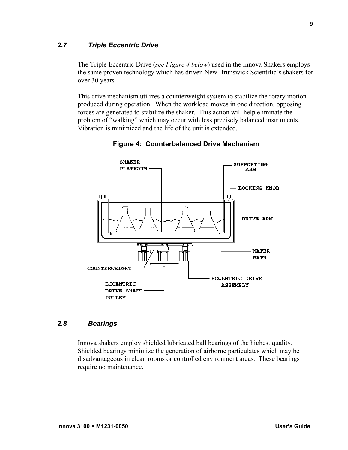# *2.7 Triple Eccentric Drive*

The Triple Eccentric Drive (*see Figure 4 below*) used in the Innova Shakers employs the same proven technology which has driven New Brunswick Scientific's shakers for over 30 years.

This drive mechanism utilizes a counterweight system to stabilize the rotary motion produced during operation. When the workload moves in one direction, opposing forces are generated to stabilize the shaker. This action will help eliminate the problem of "walking" which may occur with less precisely balanced instruments. Vibration is minimized and the life of the unit is extended.



**Figure 4: Counterbalanced Drive Mechanism**

# *2.8 Bearings*

Innova shakers employ shielded lubricated ball bearings of the highest quality. Shielded bearings minimize the generation of airborne particulates which may be disadvantageous in clean rooms or controlled environment areas. These bearings require no maintenance.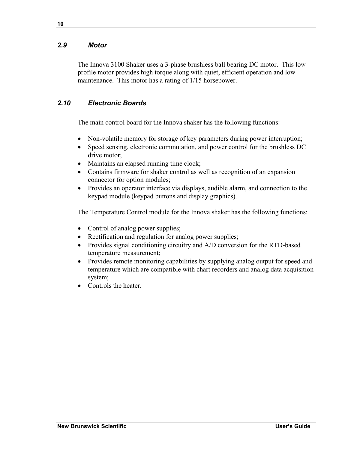# *2.9 Motor*

The Innova 3100 Shaker uses a 3-phase brushless ball bearing DC motor. This low profile motor provides high torque along with quiet, efficient operation and low maintenance. This motor has a rating of 1/15 horsepower.

# *2.10 Electronic Boards*

The main control board for the Innova shaker has the following functions:

- Non-volatile memory for storage of key parameters during power interruption;
- Speed sensing, electronic commutation, and power control for the brushless DC drive motor;
- Maintains an elapsed running time clock;
- Contains firmware for shaker control as well as recognition of an expansion connector for option modules;
- Provides an operator interface via displays, audible alarm, and connection to the keypad module (keypad buttons and display graphics).

The Temperature Control module for the Innova shaker has the following functions:

- Control of analog power supplies;
- Rectification and regulation for analog power supplies;
- Provides signal conditioning circuitry and A/D conversion for the RTD-based temperature measurement;
- Provides remote monitoring capabilities by supplying analog output for speed and temperature which are compatible with chart recorders and analog data acquisition system;
- Controls the heater.

**10**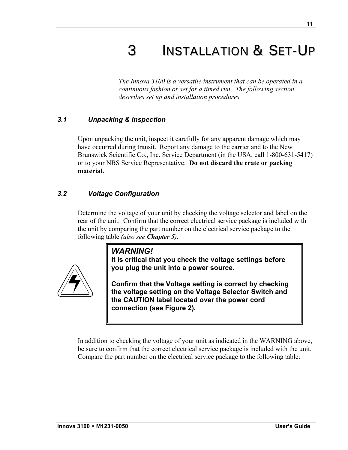# 3 INSTALLATION & SET-UP

*The Innova 3100 is a versatile instrument that can be operated in a continuous fashion or set for a timed run. The following section describes set up and installation procedures.*

# *3.1 Unpacking & Inspection*

Upon unpacking the unit, inspect it carefully for any apparent damage which may have occurred during transit. Report any damage to the carrier and to the New Brunswick Scientific Co., Inc. Service Department (in the USA, call 1-800-631-5417) or to your NBS Service Representative. **Do not discard the crate or packing material.**

# *3.2 Voltage Configuration*

Determine the voltage of your unit by checking the voltage selector and label on the rear of the unit. Confirm that the correct electrical service package is included with the unit by comparing the part number on the electrical service package to the following table *(also see Chapter 5)*.



*WARNING!*

**It is critical that you check the voltage settings before you plug the unit into a power source.**

**Confirm that the Voltage setting is correct by checking the voltage setting on the Voltage Selector Switch and the CAUTION label located over the power cord connection (see Figure 2).**

In addition to checking the voltage of your unit as indicated in the WARNING above, be sure to confirm that the correct electrical service package is included with the unit. Compare the part number on the electrical service package to the following table: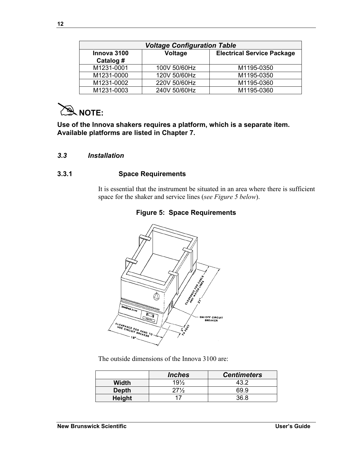| <b>Voltage Configuration Table</b> |              |                                   |  |
|------------------------------------|--------------|-----------------------------------|--|
| Innova 3100<br>Catalog #           | Voltage      | <b>Electrical Service Package</b> |  |
| M1231-0001                         | 100V 50/60Hz | M1195-0350                        |  |
| M1231-0000                         | 120V 50/60Hz | M1195-0350                        |  |
| M1231-0002                         | 220V 50/60Hz | M1195-0360                        |  |
| M1231-0003                         | 240V 50/60Hz | M1195-0360                        |  |

# #**NOTE:**

**Use of the Innova shakers requires a platform, which is a separate item. Available platforms are listed in Chapter 7.**

# *3.3 Installation*

# **3.3.1 Space Requirements**

It is essential that the instrument be situated in an area where there is sufficient space for the shaker and service lines (*see Figure 5 below*).



# **Figure 5: Space Requirements**

The outside dimensions of the Innova 3100 are:

|               | <b>Centimeters</b><br><i><u><b>Inches</b></u></i> |      |
|---------------|---------------------------------------------------|------|
| Width         | $19\frac{1}{2}$                                   |      |
| <b>Depth</b>  | 72                                                | 69 9 |
| <b>Height</b> |                                                   |      |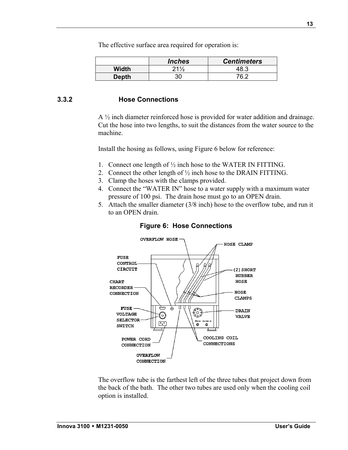The effective surface area required for operation is:

| <i><u><b>Inches</b></u></i> |                 | <b>Centimeters</b> |
|-----------------------------|-----------------|--------------------|
| Width                       | $21\frac{1}{2}$ | 48.3               |
| <b>Depth</b>                | 30              | 7R 2               |

# **3.3.2 Hose Connections**

A ½ inch diameter reinforced hose is provided for water addition and drainage. Cut the hose into two lengths, to suit the distances from the water source to the machine.

Install the hosing as follows, using Figure 6 below for reference:

- 1. Connect one length of ½ inch hose to the WATER IN FITTING.
- 2. Connect the other length of ½ inch hose to the DRAIN FITTING.
- 3. Clamp the hoses with the clamps provided.
- 4. Connect the "WATER IN" hose to a water supply with a maximum water pressure of 100 psi. The drain hose must go to an OPEN drain.
- 5. Attach the smaller diameter (3/8 inch) hose to the overflow tube, and run it to an OPEN drain.



# **Figure 6: Hose Connections**

The overflow tube is the farthest left of the three tubes that project down from the back of the bath. The other two tubes are used only when the cooling coil option is installed.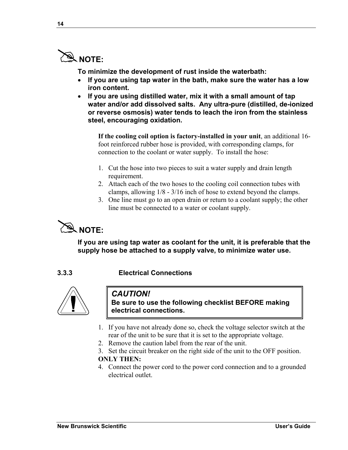

**To minimize the development of rust inside the waterbath:**

- **If you are using tap water in the bath, make sure the water has a low iron content.**
- **If you are using distilled water, mix it with a small amount of tap water and/or add dissolved salts. Any ultra-pure (distilled, de-ionized or reverse osmosis) water tends to leach the iron from the stainless steel, encouraging oxidation.**

**If the cooling coil option is factory-installed in your unit**, an additional 16 foot reinforced rubber hose is provided, with corresponding clamps, for connection to the coolant or water supply. To install the hose:

- 1. Cut the hose into two pieces to suit a water supply and drain length requirement.
- 2. Attach each of the two hoses to the cooling coil connection tubes with clamps, allowing 1/8 - 3/16 inch of hose to extend beyond the clamps.
- 3. One line must go to an open drain or return to a coolant supply; the other line must be connected to a water or coolant supply.

# $\mathbb{R}$  note:

**If you are using tap water as coolant for the unit, it is preferable that the supply hose be attached to a supply valve, to minimize water use.**

# **3.3.3 Electrical Connections**



# *CAUTION!*

**Be sure to use the following checklist BEFORE making electrical connections.**

- 1. If you have not already done so, check the voltage selector switch at the rear of the unit to be sure that it is set to the appropriate voltage.
- 2. Remove the caution label from the rear of the unit.
- 3. Set the circuit breaker on the right side of the unit to the OFF position. **ONLY THEN:**
- 4. Connect the power cord to the power cord connection and to a grounded electrical outlet.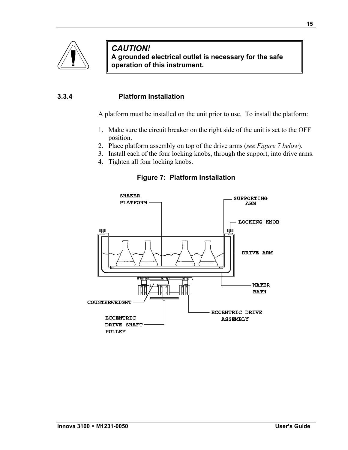

# *CAUTION!* **A grounded electrical outlet is necessary for the safe operation of this instrument.**

# **3.3.4 Platform Installation**

A platform must be installed on the unit prior to use. To install the platform:

- 1. Make sure the circuit breaker on the right side of the unit is set to the OFF position.
- 2. Place platform assembly on top of the drive arms (*see Figure 7 below*).
- 3. Install each of the four locking knobs, through the support, into drive arms.
- 4. Tighten all four locking knobs.

**Figure 7: Platform Installation**

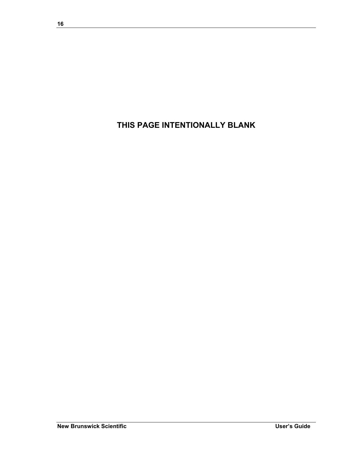<u> 1980 - Johann Barbara, martxa amerikan personal (</u>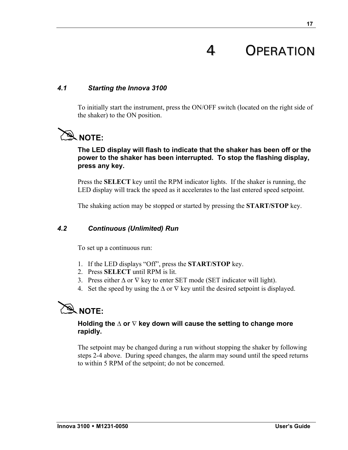# 4 OPERATION

# *4.1 Starting the Innova 3100*

To initially start the instrument, press the ON/OFF switch (located on the right side of the shaker) to the ON position.

# #**NOTE:**

### **The LED display will flash to indicate that the shaker has been off or the power to the shaker has been interrupted. To stop the flashing display, press any key.**

Press the **SELECT** key until the RPM indicator lights. If the shaker is running, the LED display will track the speed as it accelerates to the last entered speed setpoint.

The shaking action may be stopped or started by pressing the **START/STOP** key.

# *4.2 Continuous (Unlimited) Run*

To set up a continuous run:

- 1. If the LED displays "Off", press the **START/STOP** key.
- 2. Press **SELECT** until RPM is lit.
- 3. Press either ∆ or ∇ key to enter SET mode (SET indicator will light).
- 4. Set the speed by using the  $\Delta$  or  $\nabla$  key until the desired setpoint is displayed.

# $\mathbb{R}$  NOTE:

### **Holding the** ∆ **or** ∇ **key down will cause the setting to change more rapidly.**

The setpoint may be changed during a run without stopping the shaker by following steps 2-4 above. During speed changes, the alarm may sound until the speed returns to within 5 RPM of the setpoint; do not be concerned.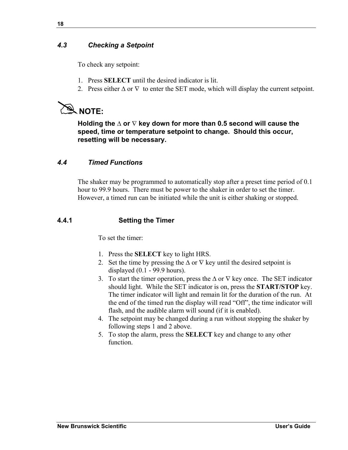# *4.3 Checking a Setpoint*

To check any setpoint:

- 1. Press **SELECT** until the desired indicator is lit.
- 2. Press either  $\Delta$  or  $\nabla$  to enter the SET mode, which will display the current setpoint.

# $\mathcal{A}$  NOTE:

**Holding the** ∆ **or** ∇ **key down for more than 0.5 second will cause the speed, time or temperature setpoint to change. Should this occur, resetting will be necessary.**

# *4.4 Timed Functions*

The shaker may be programmed to automatically stop after a preset time period of 0.1 hour to 99.9 hours. There must be power to the shaker in order to set the timer. However, a timed run can be initiated while the unit is either shaking or stopped.

# **4.4.1 Setting the Timer**

To set the timer:

- 1. Press the **SELECT** key to light HRS.
- 2. Set the time by pressing the  $\Delta$  or  $\nabla$  key until the desired setpoint is displayed (0.1 - 99.9 hours).
- 3. To start the timer operation, press the  $\Delta$  or  $\nabla$  key once. The SET indicator should light. While the SET indicator is on, press the **START/STOP** key. The timer indicator will light and remain lit for the duration of the run. At the end of the timed run the display will read "Off", the time indicator will flash, and the audible alarm will sound (if it is enabled).
- 4. The setpoint may be changed during a run without stopping the shaker by following steps 1 and 2 above.
- 5. To stop the alarm, press the **SELECT** key and change to any other function.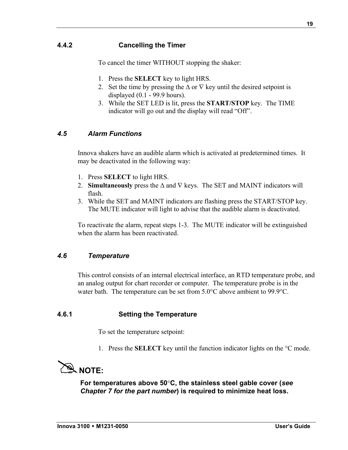**4.4.2 Cancelling the Timer**

- 1. Press the **SELECT** key to light HRS.
- 2. Set the time by pressing the  $\Delta$  or  $\nabla$  key until the desired setpoint is displayed  $(0.1 - 99.9$  hours).
- 3. While the SET LED is lit, press the **START/STOP** key. The TIME indicator will go out and the display will read "Off".

### *4.5 Alarm Functions*

Innova shakers have an audible alarm which is activated at predetermined times. It may be deactivated in the following way:

- 1. Press **SELECT** to light HRS.
- 2. **Simultaneously** press the ∆ and ∇ keys. The SET and MAINT indicators will flash.
- 3. While the SET and MAINT indicators are flashing press the START/STOP key. The MUTE indicator will light to advise that the audible alarm is deactivated.

To reactivate the alarm, repeat steps 1-3. The MUTE indicator will be extinguished when the alarm has been reactivated.

### *4.6 Temperature*

This control consists of an internal electrical interface, an RTD temperature probe, and an analog output for chart recorder or computer. The temperature probe is in the water bath. The temperature can be set from 5.0°C above ambient to 99.9°C.

### **4.6.1 Setting the Temperature**

To set the temperature setpoint:

1. Press the **SELECT** key until the function indicator lights on the °C mode.

# $\rightarrow$  NOTE:

**For temperatures above 50**°**C, the stainless steel gable cover (***see Chapter 7 for the part number***) is required to minimize heat loss.**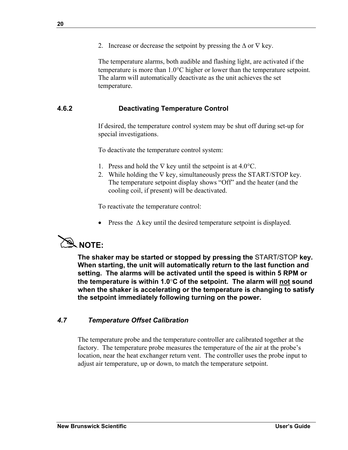The temperature alarms, both audible and flashing light, are activated if the temperature is more than 1.0°C higher or lower than the temperature setpoint. The alarm will automatically deactivate as the unit achieves the set temperature.

# **4.6.2 Deactivating Temperature Control**

If desired, the temperature control system may be shut off during set-up for special investigations.

To deactivate the temperature control system:

- 1. Press and hold the  $\nabla$  key until the setpoint is at 4.0°C.
- 2. While holding the ∇ key, simultaneously press the START/STOP key. The temperature setpoint display shows "Off" and the heater (and the cooling coil, if present) will be deactivated.

To reactivate the temperature control:

• Press the  $\Delta$  key until the desired temperature setpoint is displayed.

# #**NOTE:**

**The shaker may be started or stopped by pressing the** START/STOP **key. When starting, the unit will automatically return to the last function and setting. The alarms will be activated until the speed is within 5 RPM or the temperature is within 1.0**°**C of the setpoint. The alarm will not sound when the shaker is accelerating or the temperature is changing to satisfy the setpoint immediately following turning on the power.**

# *4.7 Temperature Offset Calibration*

The temperature probe and the temperature controller are calibrated together at the factory. The temperature probe measures the temperature of the air at the probe's location, near the heat exchanger return vent. The controller uses the probe input to adjust air temperature, up or down, to match the temperature setpoint.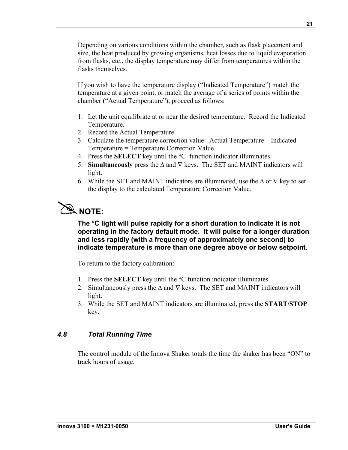Depending on various conditions within the chamber, such as flask placement and size, the heat produced by growing organisms, heat losses due to liquid evaporation from flasks, etc., the display temperature may differ from temperatures within the flasks themselves.

If you wish to have the temperature display ("Indicated Temperature") match the temperature at a given point, or match the average of a series of points within the chamber ("Actual Temperature"), proceed as follows:

- 1. Let the unit equilibrate at or near the desired temperature. Record the Indicated Temperature.
- 2. Record the Actual Temperature.
- 3. Calculate the temperature correction value: Actual Temperature Indicated Temperature = Temperature Correction Value.
- 4. Press the **SELECT** key until the °C function indicator illuminates.
- 5. **Simultaneously** press the ∆ and ∇ keys. The SET and MAINT indicators will light.
- 6. While the SET and MAINT indicators are illuminated, use the  $\Delta$  or  $\nabla$  key to set the display to the calculated Temperature Correction Value.

# $\mathbb{R}$  NOTE:

# **The °C light will pulse rapidly for a short duration to indicate it is not operating in the factory default mode. It will pulse for a longer duration and less rapidly (with a frequency of approximately one second) to indicate temperature is more than one degree above or below setpoint.**

To return to the factory calibration:

- 1. Press the **SELECT** key until the °C function indicator illuminates.
- 2. Simultaneously press the  $\Delta$  and  $\nabla$  keys. The SET and MAINT indicators will light.
- 3. While the SET and MAINT indicators are illuminated, press the **START/STOP** key.

# *4.8 Total Running Time*

The control module of the Innova Shaker totals the time the shaker has been "ON" to track hours of usage.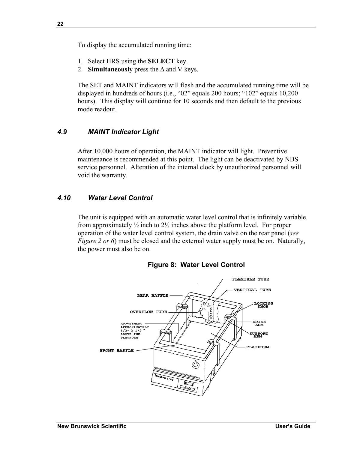To display the accumulated running time:

- 1. Select HRS using the **SELECT** key.
- 2. **Simultaneously** press the ∆ and ∇ keys.

The SET and MAINT indicators will flash and the accumulated running time will be displayed in hundreds of hours (i.e., "02" equals 200 hours; "102" equals 10,200 hours). This display will continue for 10 seconds and then default to the previous mode readout.

# *4.9 MAINT Indicator Light*

After 10,000 hours of operation, the MAINT indicator will light. Preventive maintenance is recommended at this point. The light can be deactivated by NBS service personnel. Alteration of the internal clock by unauthorized personnel will void the warranty.

# *4.10 Water Level Control*

The unit is equipped with an automatic water level control that is infinitely variable from approximately  $\frac{1}{2}$  inch to  $2\frac{1}{2}$  inches above the platform level. For proper operation of the water level control system, the drain valve on the rear panel (*see Figure 2 or 6*) must be closed and the external water supply must be on. Naturally, the power must also be on.



**Figure 8: Water Level Control**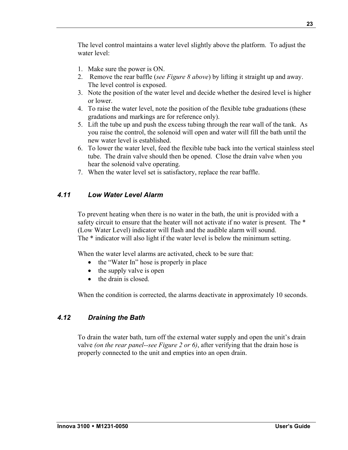The level control maintains a water level slightly above the platform. To adjust the water level:

- 1. Make sure the power is ON.
- 2. Remove the rear baffle (*see Figure 8 above*) by lifting it straight up and away. The level control is exposed.
- 3. Note the position of the water level and decide whether the desired level is higher or lower.
- 4. To raise the water level, note the position of the flexible tube graduations (these gradations and markings are for reference only).
- 5. Lift the tube up and push the excess tubing through the rear wall of the tank. As you raise the control, the solenoid will open and water will fill the bath until the new water level is established.
- 6. To lower the water level, feed the flexible tube back into the vertical stainless steel tube. The drain valve should then be opened. Close the drain valve when you hear the solenoid valve operating.
- 7. When the water level set is satisfactory, replace the rear baffle.

# *4.11 Low Water Level Alarm*

To prevent heating when there is no water in the bath, the unit is provided with a safety circuit to ensure that the heater will not activate if no water is present. The \* (Low Water Level) indicator will flash and the audible alarm will sound. The \* indicator will also light if the water level is below the minimum setting.

When the water level alarms are activated, check to be sure that:

- the "Water In" hose is properly in place
- the supply valve is open
- the drain is closed.

When the condition is corrected, the alarms deactivate in approximately 10 seconds.

# *4.12 Draining the Bath*

To drain the water bath, turn off the external water supply and open the unit's drain valve *(on the rear panel--see Figure 2 or 6)*, after verifying that the drain hose is properly connected to the unit and empties into an open drain.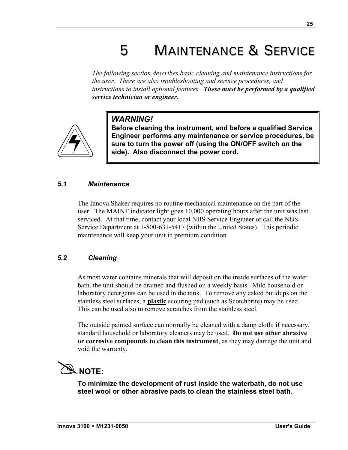# 5 MAINTENANCE & SERVICE

*The following section describes basic cleaning and maintenance instructions for the user. There are also troubleshooting and service procedures, and instructions to install optional features. These must be performed by a qualified service technician or engineer.*



# *WARNING!*

**Before cleaning the instrument, and before a qualified Service Engineer performs any maintenance or service procedures, be sure to turn the power off (using the ON/OFF switch on the side). Also disconnect the power cord.**

# *5.1 Maintenance*

The Innova Shaker requires no routine mechanical maintenance on the part of the user. The MAINT indicator light goes 10,000 operating hours after the unit was last serviced. At that time, contact your local NBS Service Engineer or call the NBS Service Department at 1-800-631-5417 (within the United States). This periodic maintenance will keep your unit in premium condition.

# *5.2 Cleaning*

As most water contains minerals that will deposit on the inside surfaces of the water bath, the unit should be drained and flushed on a weekly basis. Mild household or laboratory detergents can be used in the tank. To remove any caked buildups on the stainless steel surfaces, a **plastic** scouring pad (such as Scotchbrite) may be used. This can be used also to remove scratches from the stainless steel.

The outside painted surface can normally be cleaned with a damp cloth; if necessary, standard household or laboratory cleaners may be used. **Do not use other abrasive or corrosive compounds to clean this instrument**, as they may damage the unit and void the warranty.

# $\triangle$  NOTE:

**To minimize the development of rust inside the waterbath, do not use steel wool or other abrasive pads to clean the stainless steel bath.**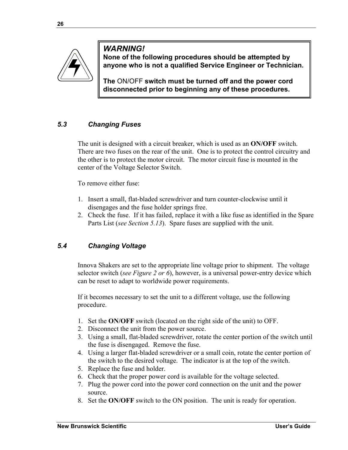

# *WARNING!*

**None of the following procedures should be attempted by anyone who is not a qualified Service Engineer or Technician.**

**The** ON/OFF **switch must be turned off and the power cord disconnected prior to beginning any of these procedures.**

# *5.3 Changing Fuses*

The unit is designed with a circuit breaker, which is used as an **ON/OFF** switch. There are two fuses on the rear of the unit. One is to protect the control circuitry and the other is to protect the motor circuit. The motor circuit fuse is mounted in the center of the Voltage Selector Switch.

To remove either fuse:

- 1. Insert a small, flat-bladed screwdriver and turn counter-clockwise until it disengages and the fuse holder springs free.
- 2. Check the fuse. If it has failed, replace it with a like fuse as identified in the Spare Parts List (*see Section 5.13*). Spare fuses are supplied with the unit.

# *5.4 Changing Voltage*

Innova Shakers are set to the appropriate line voltage prior to shipment. The voltage selector switch (*see Figure 2 or 6*), however, is a universal power-entry device which can be reset to adapt to worldwide power requirements.

If it becomes necessary to set the unit to a different voltage, use the following procedure.

- 1. Set the **ON/OFF** switch (located on the right side of the unit) to OFF.
- 2. Disconnect the unit from the power source.
- 3. Using a small, flat-bladed screwdriver, rotate the center portion of the switch until the fuse is disengaged. Remove the fuse.
- 4. Using a larger flat-bladed screwdriver or a small coin, rotate the center portion of the switch to the desired voltage. The indicator is at the top of the switch.
- 5. Replace the fuse and holder.
- 6. Check that the proper power cord is available for the voltage selected.
- 7. Plug the power cord into the power cord connection on the unit and the power source.
- 8. Set the **ON/OFF** switch to the ON position. The unit is ready for operation.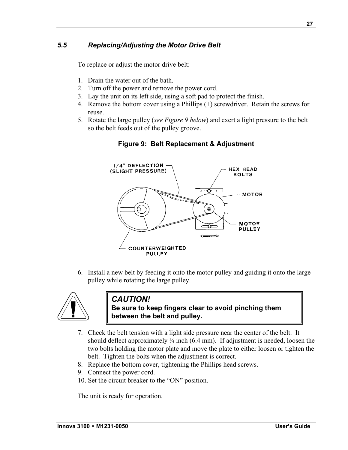# *5.5 Replacing/Adjusting the Motor Drive Belt*

To replace or adjust the motor drive belt:

- 1. Drain the water out of the bath.
- 2. Turn off the power and remove the power cord.
- 3. Lay the unit on its left side, using a soft pad to protect the finish.
- 4. Remove the bottom cover using a Phillips (+) screwdriver. Retain the screws for reuse.
- 5. Rotate the large pulley (*see Figure 9 below*) and exert a light pressure to the belt so the belt feeds out of the pulley groove.

**Figure 9: Belt Replacement & Adjustment**



6. Install a new belt by feeding it onto the motor pulley and guiding it onto the large pulley while rotating the large pulley.



# *CAUTION!* **Be sure to keep fingers clear to avoid pinching them between the belt and pulley.**

- 7. Check the belt tension with a light side pressure near the center of the belt. It should deflect approximately  $\frac{1}{4}$  inch (6.4 mm). If adjustment is needed, loosen the two bolts holding the motor plate and move the plate to either loosen or tighten the belt. Tighten the bolts when the adjustment is correct.
- 8. Replace the bottom cover, tightening the Phillips head screws.
- 9. Connect the power cord.
- 10. Set the circuit breaker to the "ON" position.

The unit is ready for operation.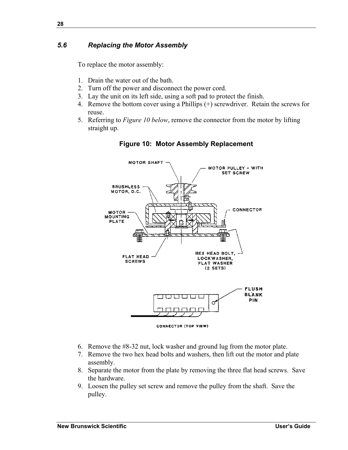# *5.6 Replacing the Motor Assembly*

To replace the motor assembly:

- 1. Drain the water out of the bath.
- 2. Turn off the power and disconnect the power cord.
- 3. Lay the unit on its left side, using a soft pad to protect the finish.
- 4. Remove the bottom cover using a Phillips (+) screwdriver. Retain the screws for reuse.
- 5. Referring to *Figure 10 below*, remove the connector from the motor by lifting straight up.



**Figure 10: Motor Assembly Replacement**

**CONNECTOR (TOP VIEW)** 

- 6. Remove the #8-32 nut, lock washer and ground lug from the motor plate.
- 7. Remove the two hex head bolts and washers, then lift out the motor and plate assembly.
- 8. Separate the motor from the plate by removing the three flat head screws. Save the hardware.
- 9. Loosen the pulley set screw and remove the pulley from the shaft. Save the pulley.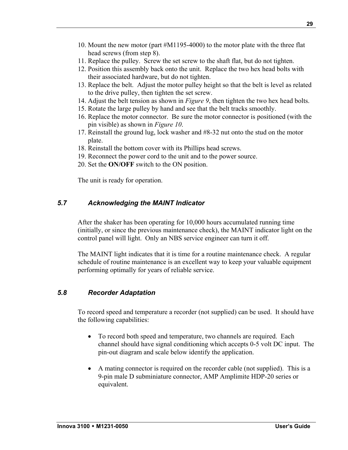- 11. Replace the pulley. Screw the set screw to the shaft flat, but do not tighten.
- 12. Position this assembly back onto the unit. Replace the two hex head bolts with their associated hardware, but do not tighten.
- 13. Replace the belt. Adjust the motor pulley height so that the belt is level as related to the drive pulley, then tighten the set screw.
- 14. Adjust the belt tension as shown in *Figure 9*, then tighten the two hex head bolts.
- 15. Rotate the large pulley by hand and see that the belt tracks smoothly.
- 16. Replace the motor connector. Be sure the motor connector is positioned (with the pin visible) as shown in *Figure 10*.
- 17. Reinstall the ground lug, lock washer and #8-32 nut onto the stud on the motor plate.
- 18. Reinstall the bottom cover with its Phillips head screws.
- 19. Reconnect the power cord to the unit and to the power source.
- 20. Set the **ON/OFF** switch to the ON position.

The unit is ready for operation.

# *5.7 Acknowledging the MAINT Indicator*

After the shaker has been operating for 10,000 hours accumulated running time (initially, or since the previous maintenance check), the MAINT indicator light on the control panel will light. Only an NBS service engineer can turn it off.

The MAINT light indicates that it is time for a routine maintenance check. A regular schedule of routine maintenance is an excellent way to keep your valuable equipment performing optimally for years of reliable service.

# *5.8 Recorder Adaptation*

To record speed and temperature a recorder (not supplied) can be used. It should have the following capabilities:

- To record both speed and temperature, two channels are required. Each channel should have signal conditioning which accepts 0-5 volt DC input. The pin-out diagram and scale below identify the application.
- A mating connector is required on the recorder cable (not supplied). This is a 9-pin male D subminiature connector, AMP Amplimite HDP-20 series or equivalent.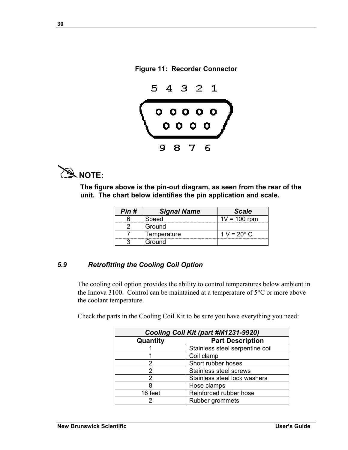**Figure 11: Recorder Connector**





**The figure above is the pin-out diagram, as seen from the rear of the unit. The chart below identifies the pin application and scale.**

| Pin # | <b>Signal Name</b> | <b>Scale</b>         |
|-------|--------------------|----------------------|
| 6     | Speed              | $1V = 100$ rpm       |
|       | Ground             |                      |
|       | Temperature        | $1 V = 20^{\circ} C$ |
|       | Ground             |                      |

# *5.9 Retrofitting the Cooling Coil Option*

The cooling coil option provides the ability to control temperatures below ambient in the Innova 3100. Control can be maintained at a temperature of 5°C or more above the coolant temperature.

Check the parts in the Cooling Coil Kit to be sure you have everything you need:

| Cooling Coil Kit (part #M1231-9920) |                                 |  |
|-------------------------------------|---------------------------------|--|
| Quantity                            | <b>Part Description</b>         |  |
|                                     | Stainless steel serpentine coil |  |
|                                     | Coil clamp                      |  |
| 2                                   | Short rubber hoses              |  |
| 2                                   | Stainless steel screws          |  |
| 2                                   | Stainless steel lock washers    |  |
| я                                   | Hose clamps                     |  |
| 16 feet                             | Reinforced rubber hose          |  |
|                                     | Rubber grommets                 |  |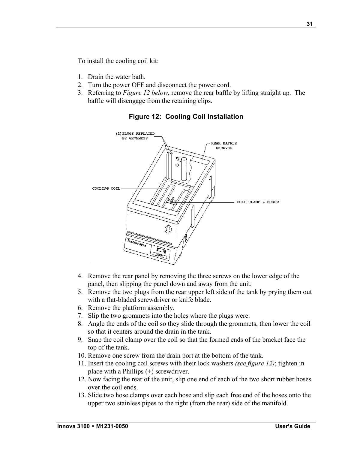To install the cooling coil kit:

- 1. Drain the water bath.
- 2. Turn the power OFF and disconnect the power cord.
- 3. Referring to *Figure 12 below*, remove the rear baffle by lifting straight up. The baffle will disengage from the retaining clips.



# **Figure 12: Cooling Coil Installation**

- 4. Remove the rear panel by removing the three screws on the lower edge of the panel, then slipping the panel down and away from the unit.
- 5. Remove the two plugs from the rear upper left side of the tank by prying them out with a flat-bladed screwdriver or knife blade.
- 6. Remove the platform assembly.
- 7. Slip the two grommets into the holes where the plugs were.
- 8. Angle the ends of the coil so they slide through the grommets, then lower the coil so that it centers around the drain in the tank.
- 9. Snap the coil clamp over the coil so that the formed ends of the bracket face the top of the tank.
- 10. Remove one screw from the drain port at the bottom of the tank.
- 11. Insert the cooling coil screws with their lock washers *(see figure 12)*; tighten in place with a Phillips (+) screwdriver.
- 12. Now facing the rear of the unit, slip one end of each of the two short rubber hoses over the coil ends.
- 13. Slide two hose clamps over each hose and slip each free end of the hoses onto the upper two stainless pipes to the right (from the rear) side of the manifold.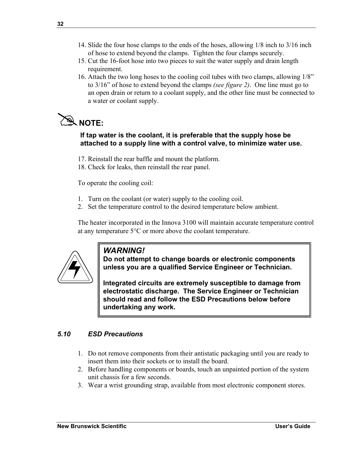- of hose to extend beyond the clamps. Tighten the four clamps securely.
- 15. Cut the 16-foot hose into two pieces to suit the water supply and drain length requirement.
- 16. Attach the two long hoses to the cooling coil tubes with two clamps, allowing 1/8" to 3/16" of hose to extend beyond the clamps *(see figure 2)*. One line must go to an open drain or return to a coolant supply, and the other line must be connected to a water or coolant supply.

# $\triangle$  NOTF:

# **If tap water is the coolant, it is preferable that the supply hose be attached to a supply line with a control valve, to minimize water use.**

17. Reinstall the rear baffle and mount the platform.

18. Check for leaks, then reinstall the rear panel.

To operate the cooling coil:

- 1. Turn on the coolant (or water) supply to the cooling coil.
- 2. Set the temperature control to the desired temperature below ambient.

The heater incorporated in the Innova 3100 will maintain accurate temperature control at any temperature 5°C or more above the coolant temperature.



# *WARNING!*

**Do not attempt to change boards or electronic components unless you are a qualified Service Engineer or Technician.**

**Integrated circuits are extremely susceptible to damage from electrostatic discharge. The Service Engineer or Technician should read and follow the ESD Precautions below before undertaking any work.**

# *5.10 ESD Precautions*

- 1. Do not remove components from their antistatic packaging until you are ready to insert them into their sockets or to install the board.
- 2. Before handling components or boards, touch an unpainted portion of the system unit chassis for a few seconds.
- 3. Wear a wrist grounding strap, available from most electronic component stores.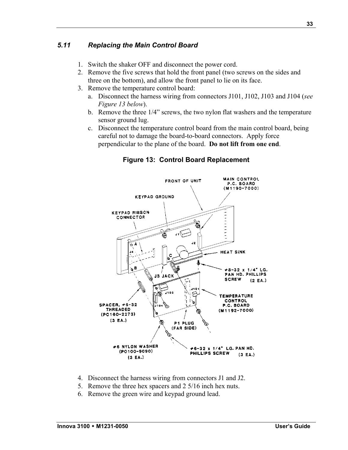# *5.11 Replacing the Main Control Board*

- 1. Switch the shaker OFF and disconnect the power cord.
- 2. Remove the five screws that hold the front panel (two screws on the sides and three on the bottom), and allow the front panel to lie on its face.
- 3. Remove the temperature control board:
	- a. Disconnect the harness wiring from connectors J101, J102, J103 and J104 (*see Figure 13 below*).
	- b. Remove the three 1/4" screws, the two nylon flat washers and the temperature sensor ground lug.
	- c. Disconnect the temperature control board from the main control board, being careful not to damage the board-to-board connectors. Apply force perpendicular to the plane of the board. **Do not lift from one end**.



# **Figure 13: Control Board Replacement**

- 4. Disconnect the harness wiring from connectors J1 and J2.
- 5. Remove the three hex spacers and 2 5/16 inch hex nuts.
- 6. Remove the green wire and keypad ground lead.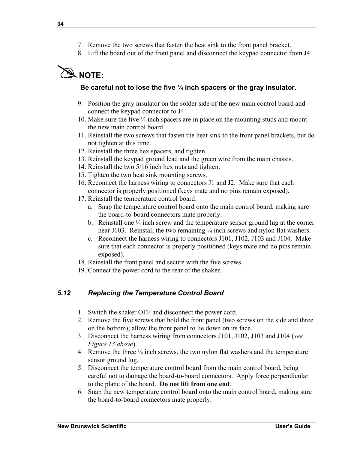- 7. Remove the two screws that fasten the heat sink to the front panel bracket.
- 8. Lift the board out of the front panel and disconnect the keypad connector from J4.

# #**NOTE:**

# **Be careful not to lose the five ¼ inch spacers or the gray insulator.**

- 9. Position the gray insulator on the solder side of the new main control board and connect the keypad connector to J4.
- 10. Make sure the five ¼ inch spacers are in place on the mounting studs and mount the new main control board.
- 11. Reinstall the two screws that fasten the heat sink to the front panel brackets, but do not tighten at this time.
- 12. Reinstall the three hex spacers, and tighten.
- 13. Reinstall the keypad ground lead and the green wire from the main chassis.
- 14. Reinstall the two 5/16 inch hex nuts and tighten.
- 15. Tighten the two heat sink mounting screws.
- 16. Reconnect the harness wiring to connectors J1 and J2. Make sure that each connector is properly positioned (keys mate and no pins remain exposed).
- 17. Reinstall the temperature control board:
	- a. Snap the temperature control board onto the main control board, making sure the board-to-board connectors mate properly.
	- b. Reinstall one  $\frac{1}{4}$  inch screw and the temperature sensor ground lug at the corner near J103. Reinstall the two remaining  $\frac{1}{4}$  inch screws and nylon flat washers.
	- c. Reconnect the harness wiring to connectors J101, J102, J103 and J104. Make sure that each connector is properly positioned (keys mate and no pins remain exposed).
- 18. Reinstall the front panel and secure with the five screws.
- 19. Connect the power cord to the rear of the shaker.

# *5.12 Replacing the Temperature Control Board*

- 1. Switch the shaker OFF and disconnect the power cord.
- 2. Remove the five screws that hold the front panel (two screws on the side and three on the bottom); allow the front panel to lie down on its face.
- 3. Disconnect the harness wiring from connectors J101, J102, J103 and J104 (*see Figure 13 above*).
- 4. Remove the three ¼ inch screws, the two nylon flat washers and the temperature sensor ground lug.
- 5. Disconnect the temperature control board from the main control board, being careful not to damage the board-to-board connectors. Apply force perpendicular to the plane of the board. **Do not lift from one end**.
- 6. Snap the new temperature control board onto the main control board, making sure the board-to-board connectors mate properly.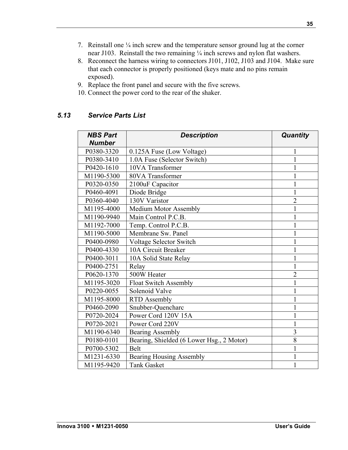- 7. Reinstall one ¼ inch screw and the temperature sensor ground lug at the corner near J103. Reinstall the two remaining ¼ inch screws and nylon flat washers.
- 8. Reconnect the harness wiring to connectors J101, J102, J103 and J104. Make sure that each connector is properly positioned (keys mate and no pins remain exposed).
- 9. Replace the front panel and secure with the five screws.
- 10. Connect the power cord to the rear of the shaker.

# *5.13 Service Parts List*

| <b>NBS Part</b> | <b>Description</b>                        | <b>Quantity</b> |
|-----------------|-------------------------------------------|-----------------|
| <b>Number</b>   |                                           |                 |
| P0380-3320      | 0.125A Fuse (Low Voltage)                 | 1               |
| P0380-3410      | 1.0A Fuse (Selector Switch)               | 1               |
| P0420-1610      | 10VA Transformer                          |                 |
| M1190-5300      | 80VA Transformer                          | 1               |
| P0320-0350      | 2100uF Capacitor                          |                 |
| P0460-4091      | Diode Bridge                              | 1               |
| P0360-4040      | 130V Varistor                             | $\overline{2}$  |
| M1195-4000      | <b>Medium Motor Assembly</b>              |                 |
| M1190-9940      | Main Control P.C.B.                       |                 |
| M1192-7000      | Temp. Control P.C.B.                      |                 |
| M1190-5000      | Membrane Sw. Panel                        | 1               |
| P0400-0980      | Voltage Selector Switch                   | 1               |
| P0400-4330      | 10A Circuit Breaker                       |                 |
| P0400-3011      | 10A Solid State Relay                     |                 |
| P0400-2751      | Relay                                     | 1               |
| P0620-1370      | 500W Heater                               | $\overline{2}$  |
| M1195-3020      | Float Switch Assembly                     | 1               |
| P0220-0055      | Solenoid Valve                            | 1               |
| M1195-8000      | <b>RTD</b> Assembly                       | 1               |
| P0460-2090      | Snubber-Quencharc                         |                 |
| P0720-2024      | Power Cord 120V 15A                       |                 |
| P0720-2021      | Power Cord 220V                           | 1               |
| M1190-6340      | <b>Bearing Assembly</b>                   | $\overline{3}$  |
| P0180-0101      | Bearing, Shielded (6 Lower Hsg., 2 Motor) | 8               |
| P0700-5302      | <b>Belt</b>                               |                 |
| M1231-6330      | <b>Bearing Housing Assembly</b>           | 1               |
| M1195-9420      | <b>Tank Gasket</b>                        |                 |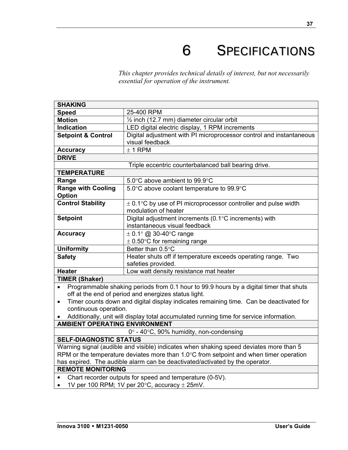# 6 SPECIFICATIONS

*This chapter provides technical details of interest, but not necessarily essential for operation of the instrument.*

| <b>SHAKING</b>                                                                                   |                                                                                                                                                |  |  |
|--------------------------------------------------------------------------------------------------|------------------------------------------------------------------------------------------------------------------------------------------------|--|--|
| <b>Speed</b>                                                                                     | 25-400 RPM                                                                                                                                     |  |  |
| <b>Motion</b>                                                                                    | $\frac{1}{2}$ inch (12.7 mm) diameter circular orbit                                                                                           |  |  |
| <b>Indication</b>                                                                                | LED digital electric display, 1 RPM increments                                                                                                 |  |  |
| <b>Setpoint &amp; Control</b>                                                                    | Digital adjustment with PI microprocessor control and instantaneous                                                                            |  |  |
|                                                                                                  | visual feedback                                                                                                                                |  |  |
| <b>Accuracy</b>                                                                                  | $± 1$ RPM                                                                                                                                      |  |  |
| <b>DRIVE</b>                                                                                     |                                                                                                                                                |  |  |
|                                                                                                  | Triple eccentric counterbalanced ball bearing drive.                                                                                           |  |  |
| <b>TEMPERATURE</b>                                                                               |                                                                                                                                                |  |  |
| Range                                                                                            | 5.0°C above ambient to 99.9°C                                                                                                                  |  |  |
| <b>Range with Cooling</b><br>Option                                                              | 5.0°C above coolant temperature to 99.9°C                                                                                                      |  |  |
| <b>Control Stability</b>                                                                         | $\pm$ 0.1°C by use of PI microprocessor controller and pulse width<br>modulation of heater                                                     |  |  |
| <b>Setpoint</b>                                                                                  | Digital adjustment increments (0.1°C increments) with<br>instantaneous visual feedback                                                         |  |  |
| <b>Accuracy</b>                                                                                  | $\pm$ 0.1 $^{\circ}$ @ 30-40 $^{\circ}$ C range                                                                                                |  |  |
|                                                                                                  | $\pm$ 0.50 $\degree$ C for remaining range                                                                                                     |  |  |
| <b>Uniformity</b>                                                                                | Better than 0.5°C                                                                                                                              |  |  |
| <b>Safety</b>                                                                                    | Heater shuts off if temperature exceeds operating range. Two                                                                                   |  |  |
|                                                                                                  | safeties provided.                                                                                                                             |  |  |
| <b>Heater</b>                                                                                    | Low watt density resistance mat heater                                                                                                         |  |  |
| <b>TIMER (Shaker)</b>                                                                            |                                                                                                                                                |  |  |
| $\bullet$                                                                                        | Programmable shaking periods from 0.1 hour to 99.9 hours by a digital timer that shuts<br>off at the end of period and energizes status light. |  |  |
| $\bullet$                                                                                        | Timer counts down and digital display indicates remaining time. Can be deactivated for                                                         |  |  |
| continuous operation.                                                                            |                                                                                                                                                |  |  |
| $\bullet$                                                                                        | Additionally, unit will display total accumulated running time for service information.                                                        |  |  |
| <b>AMBIENT OPERATING ENVIRONMENT</b>                                                             |                                                                                                                                                |  |  |
| $0^\circ$ - 40 $^\circ$ C, 90% humidity, non-condensing                                          |                                                                                                                                                |  |  |
| <b>SELF-DIAGNOSTIC STATUS</b>                                                                    |                                                                                                                                                |  |  |
| Warning signal (audible and visible) indicates when shaking speed deviates more than 5           |                                                                                                                                                |  |  |
| RPM or the temperature deviates more than $1.0^{\circ}$ C from setpoint and when timer operation |                                                                                                                                                |  |  |
| has expired. The audible alarm can be deactivated/activated by the operator.                     |                                                                                                                                                |  |  |
|                                                                                                  | <b>REMOTE MONITORING</b>                                                                                                                       |  |  |
| Chart recorder outputs for speed and temperature (0-5V).<br>$\bullet$                            |                                                                                                                                                |  |  |
| $\bullet$                                                                                        | 1V per 100 RPM; 1V per 20 $\degree$ C, accuracy $\pm$ 25mV.                                                                                    |  |  |
|                                                                                                  |                                                                                                                                                |  |  |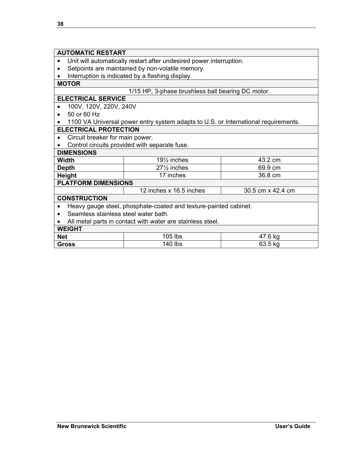| <b>AUTOMATIC RESTART</b>                                              |                                                                                    |                   |  |
|-----------------------------------------------------------------------|------------------------------------------------------------------------------------|-------------------|--|
| Unit will automatically restart after undesired power interruption.   |                                                                                    |                   |  |
|                                                                       | Setpoints are maintained by non-volatile memory.                                   |                   |  |
|                                                                       | Interruption is indicated by a flashing display.                                   |                   |  |
| <b>MOTOR</b>                                                          |                                                                                    |                   |  |
|                                                                       | 1/15 HP, 3-phase brushless ball bearing DC motor.                                  |                   |  |
| <b>ELECTRICAL SERVICE</b>                                             |                                                                                    |                   |  |
| 100V, 120V, 220V, 240V                                                |                                                                                    |                   |  |
| 50 or 60 Hz                                                           |                                                                                    |                   |  |
|                                                                       | 1100 VA Universal power entry system adapts to U.S. or International requirements. |                   |  |
| <b>ELECTRICAL PROTECTION</b>                                          |                                                                                    |                   |  |
| Circuit breaker for main power.<br>$\bullet$                          |                                                                                    |                   |  |
|                                                                       | Control circuits provided with separate fuse.                                      |                   |  |
| <b>DIMENSIONS</b>                                                     |                                                                                    |                   |  |
| Width                                                                 | $19\frac{1}{2}$ inches<br>43.2 cm                                                  |                   |  |
| <b>Depth</b>                                                          | $27\frac{1}{2}$ inches                                                             | 69.9 cm           |  |
| Height                                                                | 17 inches                                                                          | 36.8 cm           |  |
| <b>PLATFORM DIMENSIONS</b>                                            |                                                                                    |                   |  |
|                                                                       | 12 inches x 16.5 inches                                                            | 30.5 cm x 42.4 cm |  |
| <b>CONSTRUCTION</b>                                                   |                                                                                    |                   |  |
| Heavy gauge steel, phosphate-coated and texture-painted cabinet.<br>٠ |                                                                                    |                   |  |
| Seamless stainless steel water bath.<br>$\bullet$                     |                                                                                    |                   |  |
| All metal parts in contact with water are stainless steel.            |                                                                                    |                   |  |
| <b>WEIGHT</b>                                                         |                                                                                    |                   |  |
| 105 lbs<br>47.6 kg<br><b>Net</b>                                      |                                                                                    |                   |  |
| 140 lbs<br>63.5 kg<br>Gross                                           |                                                                                    |                   |  |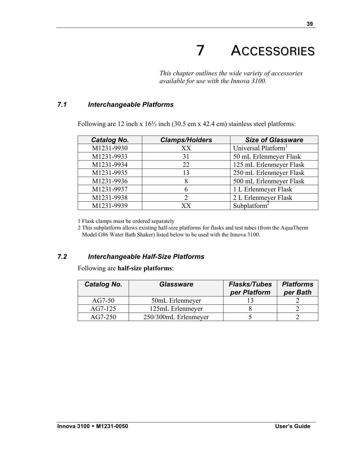# 7 ACCESSORIES

*This chapter outlines the wide variety of accessories available for use with the Innova 3100.*

# *7.1 Interchangeable Platforms*

Following are 12 inch x 16½ inch (30.5 cm x 42.4 cm) stainless steel platforms:

| Catalog No. | <b>Clamps/Holders</b> | <b>Size of Glassware</b>        |
|-------------|-----------------------|---------------------------------|
| M1231-9930  | XX                    | Universal Platform <sup>1</sup> |
| M1231-9933  | 31                    | 50 mL Erlenmeyer Flask          |
| M1231-9934  | 22                    | 125 mL Erlenmeyer Flask         |
| M1231-9935  | 13                    | 250 mL Erlenmeyer Flask         |
| M1231-9936  |                       | 500 mL Erlenmeyer Flask         |
| M1231-9937  | 6                     | 1 L Erlenmeyer Flask            |
| M1231-9938  | 2                     | 2 L Erlenmeyer Flask            |
| M1231-9939  | XX.                   | Subplatform                     |

1 Flask clamps must be ordered separately

2 This subplatform allows existing half-size platforms for flasks and test tubes (from the AquaTherm Model G86 Water Bath Shaker) listed below to be used with the Innova 3100.

# *7.2 Interchangeable Half-Size Platforms*

Following are **half-size platforms**:

| Catalog No. | <b>Glassware</b>     | <b>Flasks/Tubes</b><br>per Platform | <b>Platforms</b><br>per Bath |
|-------------|----------------------|-------------------------------------|------------------------------|
| $AG7-50$    | 50mL Erlenmeyer      |                                     |                              |
| $AG7-125$   | 125mL Erlenmeyer     |                                     |                              |
| $AG7-250$   | 250/300mL Erlenmeyer |                                     |                              |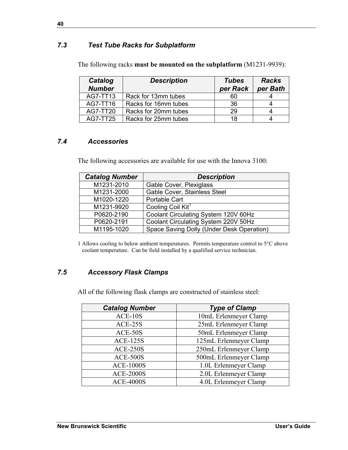# *7.3 Test Tube Racks for Subplatform*

| Catalog         | <b>Description</b>   | <b>Tubes</b> | <b>Racks</b> |
|-----------------|----------------------|--------------|--------------|
| <b>Number</b>   |                      | per Rack     | per Bath     |
| AG7-TT13        | Rack for 13mm tubes  | 60           |              |
| AG7-TT16        | Racks for 16mm tubes | 36           |              |
| <b>AG7-TT20</b> | Racks for 20mm tubes | 29           | 4            |
| <b>AG7-TT25</b> | Racks for 25mm tubes | 18           |              |

The following racks **must be mounted on the subplatform** (M1231-9939):

# *7.4 Accessories*

The following accessories are available for use with the Innova 3100:

| <b>Catalog Number</b> | <b>Description</b>                        |
|-----------------------|-------------------------------------------|
| M1231-2010            | Gable Cover, Plexiglass                   |
| M1231-2000            | Gable Cover, Stainless Steel              |
| M1020-1220            | Portable Cart                             |
| M1231-9920            | Cooling Coil Kit <sup>1</sup>             |
| P0620-2190            | Coolant Circulating System 120V 60Hz      |
| P0620-2191            | Coolant Circulating System 220V 50Hz      |
| M1195-1020            | Space Saving Dolly (Under Desk Operation) |

1 Allows cooling to below ambient temperatures. Permits temperature control to 5°C above coolant temperature. Can be field installed by a qualified service technician.

# *7.5 Accessory Flask Clamps*

All of the following flask clamps are constructed of stainless steel:

| <b>Catalog Number</b> | <b>Type of Clamp</b>   |  |  |
|-----------------------|------------------------|--|--|
| $ACE-10S$             | 10mL Erlenmeyer Clamp  |  |  |
| $ACE-25S$             | 25mL Erlenmeyer Clamp  |  |  |
| ACE-50S               | 50mL Erlenmeyer Clamp  |  |  |
| <b>ACE-125S</b>       | 125mL Erlenmeyer Clamp |  |  |
| <b>ACE-250S</b>       | 250mL Erlenmeyer Clamp |  |  |
| <b>ACE-500S</b>       | 500mL Erlenmeyer Clamp |  |  |
| <b>ACE-1000S</b>      | 1.0L Erlenmeyer Clamp  |  |  |
| <b>ACE-2000S</b>      | 2.0L Erlenmeyer Clamp  |  |  |
| <b>ACE-4000S</b>      | 4.0L Erlenmeyer Clamp  |  |  |

**40**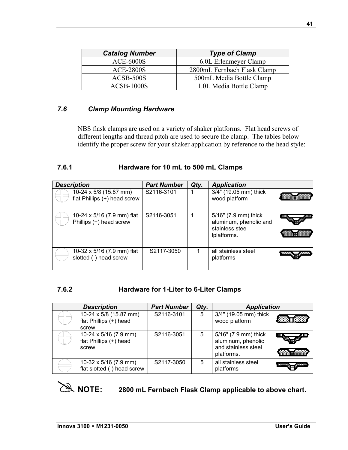| <b>Catalog Number</b> | <b>Type of Clamp</b>        |  |  |
|-----------------------|-----------------------------|--|--|
| <b>ACE-6000S</b>      | 6.0L Erlenmeyer Clamp       |  |  |
| <b>ACE-2800S</b>      | 2800mL Fernbach Flask Clamp |  |  |
| ACSB-500S             | 500mL Media Bottle Clamp    |  |  |
| <b>ACSB-1000S</b>     | 1.0L Media Bottle Clamp     |  |  |

# *7.6 Clamp Mounting Hardware*

NBS flask clamps are used on a variety of shaker platforms. Flat head screws of different lengths and thread pitch are used to secure the clamp. The tables below identify the proper screw for your shaker application by reference to the head style:

# **7.6.1 Hardware for 10 mL to 500 mL Clamps**

| <b>Description</b>                                     | <b>Part Number</b> | Qty. | <b>Application</b>                                                              |  |
|--------------------------------------------------------|--------------------|------|---------------------------------------------------------------------------------|--|
| 10-24 x 5/8 (15.87 mm)<br>flat Phillips (+) head screw | S2116-3101         |      | 3/4" (19.05 mm) thick<br>wood platform                                          |  |
| 10-24 x 5/16 (7.9 mm) flat<br>Phillips (+) head screw  | S2116-3051         |      | 5/16" (7.9 mm) thick<br>aluminum, phenolic and<br>stainless stee<br>Iplatforms. |  |
| 10-32 x 5/16 (7.9 mm) flat<br>slotted (-) head screw   | S2117-3050         |      | all stainless steel<br>platforms                                                |  |

# **7.6.2 Hardware for 1-Liter to 6-Liter Clamps**

| <b>Description</b> |                                                           | <b>Part Number</b> | Qty. | <b>Application</b>                                                              |  |
|--------------------|-----------------------------------------------------------|--------------------|------|---------------------------------------------------------------------------------|--|
|                    | 10-24 x 5/8 (15.87 mm)<br>flat Phillips (+) head<br>screw | S2116-3101         | 5    | 3/4" (19.05 mm) thick<br>wood platform                                          |  |
|                    | 10-24 x 5/16 (7.9 mm)<br>flat Phillips (+) head<br>screw  | S2116-3051         | 5    | 5/16" (7.9 mm) thick<br>aluminum, phenolic<br>and stainless steel<br>platforms. |  |
|                    | 10-32 x 5/16 (7.9 mm)<br>flat slotted (-) head screw      | S2117-3050         | 5    | all stainless steel<br>platforms                                                |  |

#**NOTE: 2800 mL Fernbach Flask Clamp applicable to above chart.**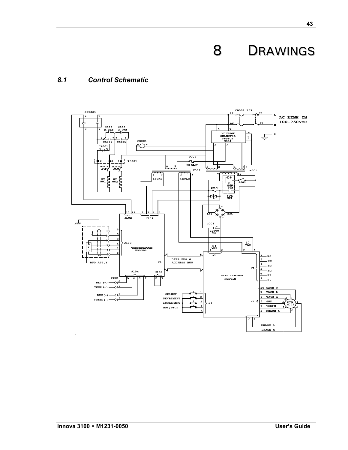8 DRAWINGS

# *8.1 Control Schematic*

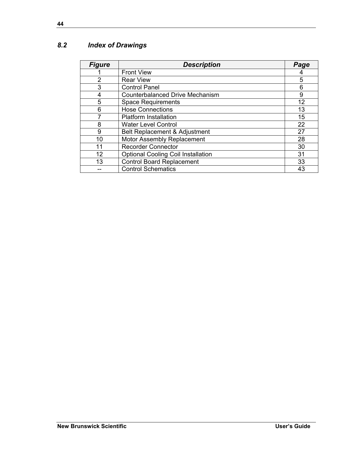# *8.2 Index of Drawings*

| <b>Figure</b>  | <b>Description</b>                        | Page |
|----------------|-------------------------------------------|------|
|                | <b>Front View</b>                         |      |
| $\overline{2}$ | <b>Rear View</b>                          | 5    |
| 3              | <b>Control Panel</b>                      | 6    |
| 4              | <b>Counterbalanced Drive Mechanism</b>    | 9    |
| 5              | <b>Space Requirements</b>                 | 12   |
| 6              | <b>Hose Connections</b>                   | 13   |
|                | <b>Platform Installation</b>              | 15   |
| 8              | <b>Water Level Control</b>                | 22   |
| 9              | Belt Replacement & Adjustment             | 27   |
| 10             | Motor Assembly Replacement                | 28   |
| 11             | <b>Recorder Connector</b>                 | 30   |
| 12             | <b>Optional Cooling Coil Installation</b> | 31   |
| 13             | <b>Control Board Replacement</b>          | 33   |
|                | <b>Control Schematics</b>                 | 43   |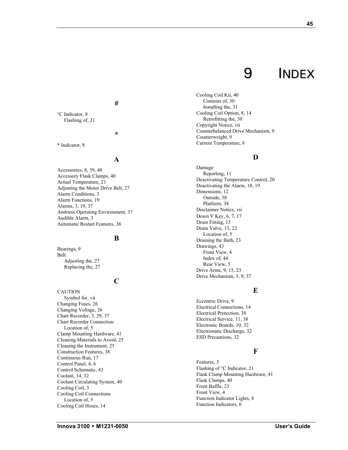# 9 INDEX

**#**

°C Indicator, 8 Flashing of, 21

#### **\***

\* Indicator, 8

### **A**

Accessories, 8, 39, 40 Accessory Flask Clamps, 40 Actual Temperature, 21 Adjusting the Motor Drive Belt, 27 Alarm Conditions, 3 Alarm Functions, 19 Alarms, 3, 19, 37 Ambient Operating Environment, 37 Audible Alarm, 3 Automatic Restart Features, 38

#### **B**

Bearings, 9 Belt Adjusting the, 27 Replacing the, 27

# **C**

CAUTION Symbol for, vii Changing Fuses, 26 Changing Voltage, 26 Chart Recorder, 3, 29, 37 Chart Recorder Connection Location of, 5 Clamp Mounting Hardware, 41 Cleaning Materials to Avoid, 25 Cleaning the Instrument, 25 Construction Features, 38 Continuous Run, 17 Control Panel, 4, 6 Control Schematic, 43 Coolant, 14, 32 Coolant Circulating System, 40 Cooling Coil, 3 Cooling Coil Connections Location of, 5 Cooling Coil Hoses, 14

Cooling Coil Kit, 40 Contents of, 30 Installing the, 31 Cooling Coil Option, 8, 14 Retrofitting the, 30 Copyright Notice, vii Counterbalanced Drive Mechanism, 9 Counterweight, 9 Current Temperature, 8

# **D**

Damage Reporting, 11 Deactivating Temperature Control, 20 Deactivating the Alarm, 18, 19 Dimensions, 12 Outside, 38 Platform, 38 Disclaimer Notice, vii Down  $∇$  Key, 6, 7, 17 Drain Fitting, 13 Drain Valve, 13, 22 Location of, 5 Draining the Bath, 23 Drawings, 43 Front View, 4 Index of, 44 Rear View, 5 Drive Arms, 9, 15, 23 Drive Mechanism, 3, 9, 37

# **E**

Eccentric Drive, 9 Electrical Connections, 14 Electrical Protection, 38 Electrical Service, 11, 38 Electronic Boards, 10, 32 Electrostatic Discharge, 32 ESD Precautions, 32

# **F**

Features, 3 Flashing of °C Indicator, 21 Flask Clamp Mounting Hardware, 41 Flask Clamps, 40 Front Baffle, 23 Front View, 4 Function Indicator Lights, 8 Function Indicators, 6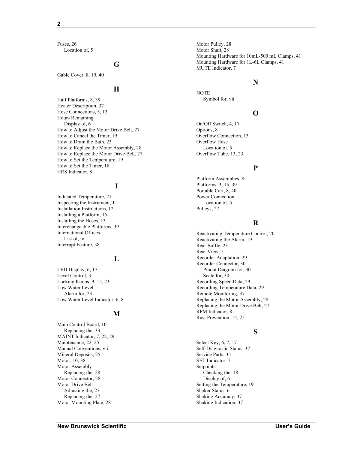Fuses, 26 Location of, 5

### **G**

Gable Cover, 8, 19, 40

# **H**

Half Platforms, 8, 39 Heater Description, 37 Hose Connections, 5, 13 Hours Remaining Display of, 6 How to Adjust the Motor Drive Belt, 27 How to Cancel the Timer, 19 How to Drain the Bath, 23 How to Replace the Motor Assembly, 28 How to Replace the Motor Drive Belt, 27 How to Set the Temperature, 19 How to Set the Timer, 18 HRS Indicator, 8

### **I**

Indicated Temperature, 21 Inspecting the Instrument, 11 Installation Instructions, 12 Installing a Platform, 15 Installing the Hoses, 13 Interchangeable Platforms, 39 International Offices List of, iii Interrupt Feature, 38

### **L**

LED Display, 6, 17 Level Control, 3 Locking Knobs, 9, 15, 23 Low Water Level Alarm for, 23 Low Water Level Indicator, 6, 8

### **M**

Main Control Board, 10 Replacing the, 33 MAINT Indicator, 7, 22, 29 Maintenance, 22, 25 Manual Conventions, vii Mineral Deposits, 25 Motor, 10, 38 Motor Assembly Replacing the, 28 Motor Connector, 28 Motor Drive Belt Adjusting the, 27 Replacing the, 27 Motor Mounting Plate, 28

Motor Pulley, 28 Motor Shaft, 28 Mounting Hardware for 10mL-500 mL Clamps, 41 Mounting Hardware for 1L-6L Clamps, 41 MUTE Indicator, 7

### **N**

**NOTE** Symbol for, vii

### **O**

On/Off Switch, 4, 17 Options, 8 Overflow Connection, 13 Overflow Hose Location of, 5 Overflow Tube, 13, 23

#### **P**

Platform Assemblies, 8 Platforms, 3, 15, 39 Portable Cart, 8, 40 Power Connection Location of, 5 Pulleys, 27

### **R**

Reactivating Temperature Control, 20 Reactivating the Alarm, 19 Rear Baffle, 23 Rear View, 5 Recorder Adaptation, 29 Recorder Connector, 30 Pinout Diagram for, 30 Scale for, 30 Recording Speed Data, 29 Recording Temperature Data, 29 Remote Monitoring, 37 Replacing the Motor Assembly, 28 Replacing the Motor Drive Belt, 27 RPM Indicator, 8 Rust Prevention, 14, 25

#### **S**

Select Key, 6, 7, 17 Self-Diagnostic Status, 37 Service Parts, 35 SET Indicator, 7 Setpoints Checking the, 18 Display of, 6 Setting the Temperature, 19 Shaker Status, 6 Shaking Accuracy, 37 Shaking Indication, 37